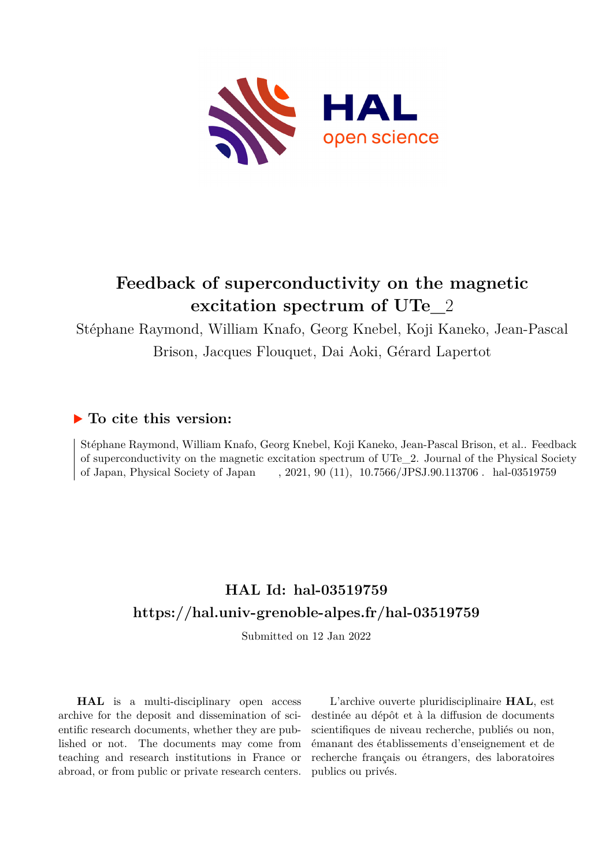

# **Feedback of superconductivity on the magnetic excitation spectrum of UTe\_**2

Stéphane Raymond, William Knafo, Georg Knebel, Koji Kaneko, Jean-Pascal

Brison, Jacques Flouquet, Dai Aoki, Gérard Lapertot

### **To cite this version:**

Stéphane Raymond, William Knafo, Georg Knebel, Koji Kaneko, Jean-Pascal Brison, et al.. Feedback of superconductivity on the magnetic excitation spectrum of UTe\_2. Journal of the Physical Society of Japan, Physical Society of Japan ffr $f(11)$ ,  $10.7566/JPSJ.90.113706$ . hal-03519759

## **HAL Id: hal-03519759 <https://hal.univ-grenoble-alpes.fr/hal-03519759>**

Submitted on 12 Jan 2022

**HAL** is a multi-disciplinary open access archive for the deposit and dissemination of scientific research documents, whether they are published or not. The documents may come from teaching and research institutions in France or abroad, or from public or private research centers.

L'archive ouverte pluridisciplinaire **HAL**, est destinée au dépôt et à la diffusion de documents scientifiques de niveau recherche, publiés ou non, émanant des établissements d'enseignement et de recherche français ou étrangers, des laboratoires publics ou privés.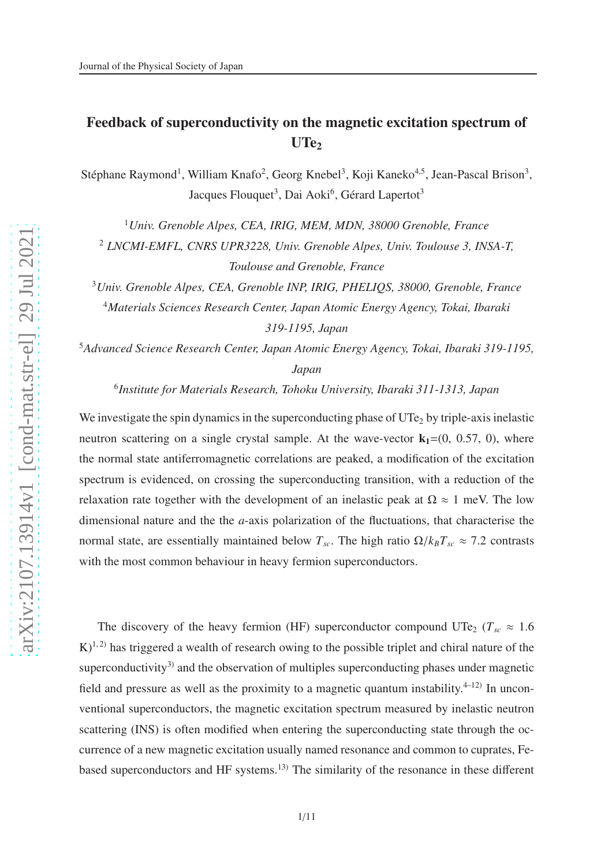## Feedback of superconductivity on the magnetic excitation spectrum of  $UTe<sub>2</sub>$

Stéphane Raymond<sup>1</sup>, William Knafo<sup>2</sup>, Georg Knebel<sup>3</sup>, Koji Kaneko<sup>4,5</sup>, Jean-Pascal Brison<sup>3</sup>, Jacques Flouquet<sup>3</sup>, Dai Aoki<sup>6</sup>, Gérard Lapertot<sup>3</sup>

<sup>1</sup>*Univ. Grenoble Alpes, CEA, IRIG, MEM, MDN, 38000 Grenoble, France*

<sup>2</sup> *LNCMI-EMFL, CNRS UPR3228, Univ. Grenoble Alpes, Univ. Toulouse 3, INSA-T, Toulouse and Grenoble, France*

<sup>3</sup>*Univ. Grenoble Alpes, CEA, Grenoble INP, IRIG, PHELIQS, 38000, Grenoble, France* <sup>4</sup>*Materials Sciences Research Center, Japan Atomic Energy Agency, Tokai, Ibaraki 319-1195, Japan*

<sup>5</sup>*Advanced Science Research Center, Japan Atomic Energy Agency, Tokai, Ibaraki 319-1195, Japan*

6 *Institute for Materials Research, Tohoku University, Ibaraki 311-1313, Japan*

We investigate the spin dynamics in the superconducting phase of  $UT_{e_2}$  by triple-axis inelastic neutron scattering on a single crystal sample. At the wave-vector  $k_1=(0, 0.57, 0)$ , where the normal state antiferromagnetic correlations are peaked, a modification of the excitation spectrum is evidenced, on crossing the superconducting transition, with a reduction of the relaxation rate together with the development of an inelastic peak at  $\Omega \approx 1$  meV. The low dimensional nature and the the *a*-axis polarization of the fluctuations, that characterise the normal state, are essentially maintained below  $T_{sc}$ . The high ratio  $\Omega/k_B T_{sc} \approx 7.2$  contrasts with the most common behaviour in heavy fermion superconductors.

The discovery of the heavy fermion (HF) superconductor compound UTe<sub>2</sub> ( $T_{sc} \approx 1.6$  $K$ <sup>1, 2)</sup> has triggered a wealth of research owing to the possible triplet and chiral nature of the superconductivity<sup>3)</sup> and the observation of multiples superconducting phases under magnetic field and pressure as well as the proximity to a magnetic quantum instability. $4-12$  In unconventional superconductors, the magnetic excitation spectrum measured by inelastic neutron scattering (INS) is often modified when entering the superconducting state through the occurrence of a new magnetic excitation usually named resonance and common to cuprates, Febased superconductors and HF systems.13) The similarity of the resonance in these different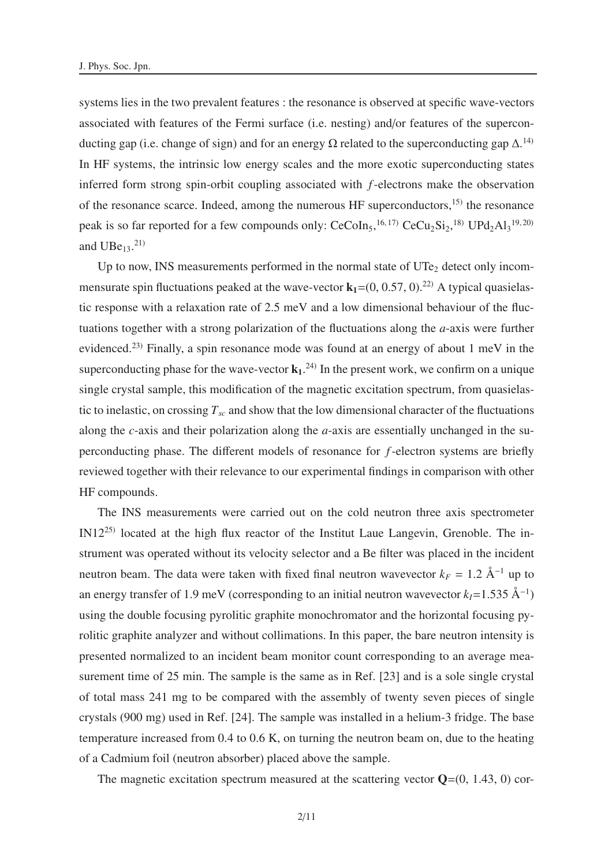systems lies in the two prevalent features : the resonance is observed at specific wave-vectors associated with features of the Fermi surface (i.e. nesting) and/or features of the superconducting gap (i.e. change of sign) and for an energy  $\Omega$  related to the superconducting gap  $\Delta$ .<sup>14)</sup> In HF systems, the intrinsic low energy scales and the more exotic superconducting states inferred form strong spin-orbit coupling associated with *f*-electrons make the observation of the resonance scarce. Indeed, among the numerous HF superconductors,<sup>15)</sup> the resonance peak is so far reported for a few compounds only:  $CeCoIn<sub>5</sub>,<sup>16,17)</sup> CeCu<sub>2</sub>Si<sub>2</sub>,<sup>18)</sup> UPd<sub>2</sub>Al<sub>3</sub><sup>19,20)</sup>$ and  $UBe_{13}$ <sup>21)</sup>

Up to now, INS measurements performed in the normal state of  $UTe<sub>2</sub>$  detect only incommensurate spin fluctuations peaked at the wave-vector  $k_1=(0, 0.57, 0)$ .<sup>22)</sup> A typical quasielastic response with a relaxation rate of 2.5 meV and a low dimensional behaviour of the fluctuations together with a strong polarization of the fluctuations along the *a*-axis were further evidenced.23) Finally, a spin resonance mode was found at an energy of about 1 meV in the superconducting phase for the wave-vector  $\mathbf{k}_1$ .<sup>24)</sup> In the present work, we confirm on a unique single crystal sample, this modification of the magnetic excitation spectrum, from quasielastic to inelastic, on crossing  $T_{sc}$  and show that the low dimensional character of the fluctuations along the *c*-axis and their polarization along the *a*-axis are essentially unchanged in the superconducting phase. The different models of resonance for *f*-electron systems are briefly reviewed together with their relevance to our experimental findings in comparison with other HF compounds.

The INS measurements were carried out on the cold neutron three axis spectrometer IN1225) located at the high flux reactor of the Institut Laue Langevin, Grenoble. The instrument was operated without its velocity selector and a Be filter was placed in the incident neutron beam. The data were taken with fixed final neutron wavevector  $k_F = 1.2 \text{ Å}^{-1}$  up to an energy transfer of 1.9 meV (corresponding to an initial neutron wavevector  $k_I$ =1.535 Å<sup>-1</sup>) using the double focusing pyrolitic graphite monochromator and the horizontal focusing pyrolitic graphite analyzer and without collimations. In this paper, the bare neutron intensity is presented normalized to an incident beam monitor count corresponding to an average measurement time of 25 min. The sample is the same as in Ref. [23] and is a sole single crystal of total mass 241 mg to be compared with the assembly of twenty seven pieces of single crystals (900 mg) used in Ref. [24]. The sample was installed in a helium-3 fridge. The base temperature increased from 0.4 to 0.6 K, on turning the neutron beam on, due to the heating of a Cadmium foil (neutron absorber) placed above the sample.

The magnetic excitation spectrum measured at the scattering vector  $\mathbf{Q}=(0, 1.43, 0)$  cor-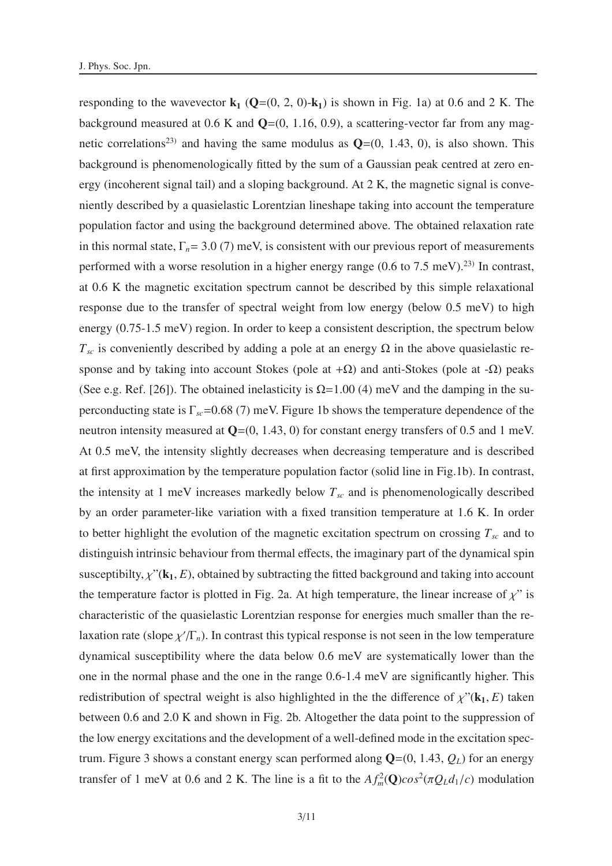responding to the wavevector  $\mathbf{k}_1$  ( $\mathbf{Q}=(0, 2, 0)$ - $\mathbf{k}_1$ ) is shown in Fig. 1a) at 0.6 and 2 K. The background measured at 0.6 K and  $Q=(0, 1.16, 0.9)$ , a scattering-vector far from any magnetic correlations<sup>23)</sup> and having the same modulus as  $Q=(0, 1.43, 0)$ , is also shown. This background is phenomenologically fitted by the sum of a Gaussian peak centred at zero energy (incoherent signal tail) and a sloping background. At 2 K, the magnetic signal is conveniently described by a quasielastic Lorentzian lineshape taking into account the temperature population factor and using the background determined above. The obtained relaxation rate in this normal state,  $\Gamma_n = 3.0$  (7) meV, is consistent with our previous report of measurements performed with a worse resolution in a higher energy range  $(0.6 \text{ to } 7.5 \text{ meV})$ .<sup>23)</sup> In contrast, at 0.6 K the magnetic excitation spectrum cannot be described by this simple relaxational response due to the transfer of spectral weight from low energy (below 0.5 meV) to high energy (0.75-1.5 meV) region. In order to keep a consistent description, the spectrum below  $T_{sc}$  is conveniently described by adding a pole at an energy  $\Omega$  in the above quasielastic response and by taking into account Stokes (pole at  $+\Omega$ ) and anti-Stokes (pole at  $-\Omega$ ) peaks (See e.g. Ref. [26]). The obtained inelasticity is  $\Omega$ =1.00 (4) meV and the damping in the superconducting state is  $\Gamma_{sc}$ =0.68 (7) meV. Figure 1b shows the temperature dependence of the neutron intensity measured at  $Q=(0, 1.43, 0)$  for constant energy transfers of 0.5 and 1 meV. At 0.5 meV, the intensity slightly decreases when decreasing temperature and is described at first approximation by the temperature population factor (solid line in Fig.1b). In contrast, the intensity at 1 meV increases markedly below  $T_{sc}$  and is phenomenologically described by an order parameter-like variation with a fixed transition temperature at 1.6 K. In order to better highlight the evolution of the magnetic excitation spectrum on crossing  $T_{sc}$  and to distinguish intrinsic behaviour from thermal effects, the imaginary part of the dynamical spin susceptibilty,  $\chi$ <sup>"</sup>( $\mathbf{k}_1$ , *E*), obtained by subtracting the fitted background and taking into account the temperature factor is plotted in Fig. 2a. At high temperature, the linear increase of  $\chi$ " is characteristic of the quasielastic Lorentzian response for energies much smaller than the relaxation rate (slope  $\chi/\Gamma_n$ ). In contrast this typical response is not seen in the low temperature dynamical susceptibility where the data below 0.6 meV are systematically lower than the one in the normal phase and the one in the range 0.6-1.4 meV are significantly higher. This redistribution of spectral weight is also highlighted in the the difference of  $\chi$ <sup>"</sup>( $\mathbf{k}_1$ , *E*) taken between 0.6 and 2.0 K and shown in Fig. 2b. Altogether the data point to the suppression of the low energy excitations and the development of a well-defined mode in the excitation spectrum. Figure 3 shows a constant energy scan performed along  $Q=(0, 1.43, Q_L)$  for an energy transfer of 1 meV at 0.6 and 2 K. The line is a fit to the  $Af_m^2(\mathbf{Q})cos^2(\pi Q_Ld_1/c)$  modulation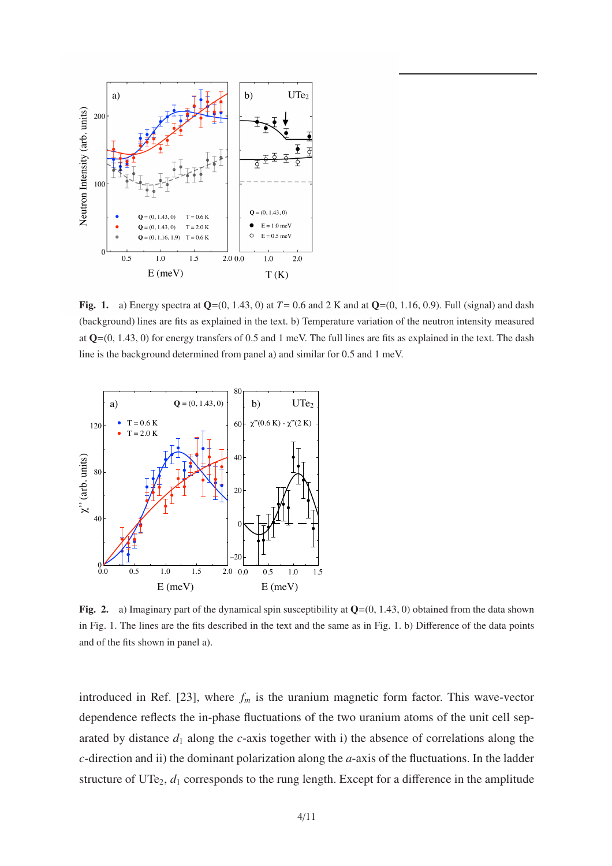

**Fig. 1.** a) Energy spectra at  $Q=(0, 1.43, 0)$  at  $T=0.6$  and 2 K and at  $Q=(0, 1.16, 0.9)$ . Full (signal) and dash (background) lines are fits as explained in the text. b) Temperature variation of the neutron intensity measured at  $Q=(0, 1.43, 0)$  for energy transfers of 0.5 and 1 meV. The full lines are fits as explained in the text. The dash line is the background determined from panel a) and similar for 0.5 and 1 meV.



Fig. 2. a) Imaginary part of the dynamical spin susceptibility at  $Q=(0, 1.43, 0)$  obtained from the data shown in Fig. 1. The lines are the fits described in the text and the same as in Fig. 1. b) Difference of the data points and of the fits shown in panel a).

introduced in Ref. [23], where  $f_m$  is the uranium magnetic form factor. This wave-vector dependence reflects the in-phase fluctuations of the two uranium atoms of the unit cell separated by distance  $d_1$  along the  $c$ -axis together with i) the absence of correlations along the *c*-direction and ii) the dominant polarization along the *a*-axis of the fluctuations. In the ladder structure of UTe<sub>2</sub>,  $d_1$  corresponds to the rung length. Except for a difference in the amplitude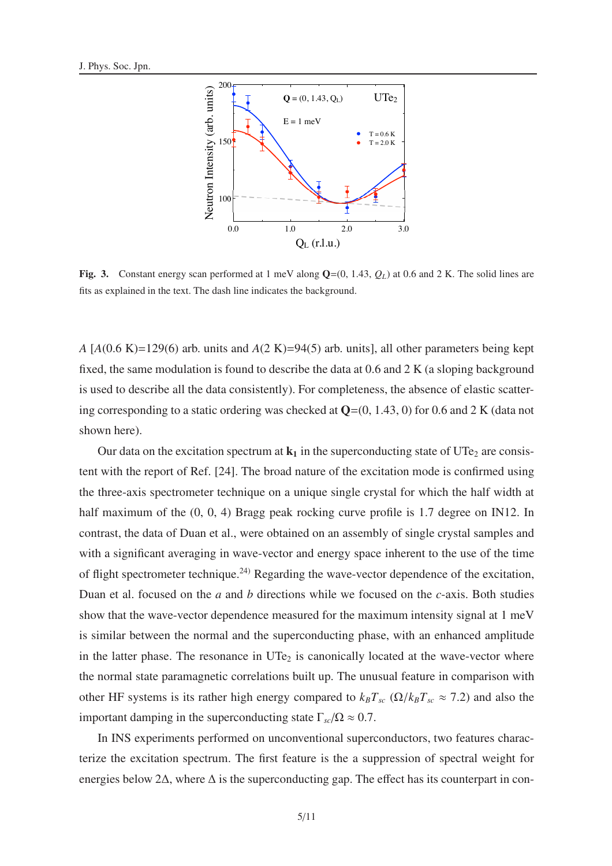

Fig. 3. Constant energy scan performed at 1 meV along Q=(0, 1.43, *QL*) at 0.6 and 2 K. The solid lines are fits as explained in the text. The dash line indicates the background.

*A* [*A*(0.6 K)=129(6) arb. units and *A*(2 K)=94(5) arb. units], all other parameters being kept fixed, the same modulation is found to describe the data at 0.6 and 2 K (a sloping background is used to describe all the data consistently). For completeness, the absence of elastic scattering corresponding to a static ordering was checked at  $Q=(0, 1.43, 0)$  for 0.6 and 2 K (data not shown here).

Our data on the excitation spectrum at  $k_1$  in the superconducting state of UTe<sub>2</sub> are consistent with the report of Ref. [24]. The broad nature of the excitation mode is confirmed using the three-axis spectrometer technique on a unique single crystal for which the half width at half maximum of the  $(0, 0, 4)$  Bragg peak rocking curve profile is 1.7 degree on IN12. In contrast, the data of Duan et al., were obtained on an assembly of single crystal samples and with a significant averaging in wave-vector and energy space inherent to the use of the time of flight spectrometer technique.<sup>24)</sup> Regarding the wave-vector dependence of the excitation, Duan et al. focused on the *a* and *b* directions while we focused on the *c*-axis. Both studies show that the wave-vector dependence measured for the maximum intensity signal at 1 meV is similar between the normal and the superconducting phase, with an enhanced amplitude in the latter phase. The resonance in  $UTe<sub>2</sub>$  is canonically located at the wave-vector where the normal state paramagnetic correlations built up. The unusual feature in comparison with other HF systems is its rather high energy compared to  $k_B T_{sc}$  ( $\Omega/k_B T_{sc} \approx 7.2$ ) and also the important damping in the superconducting state  $\Gamma_{sc}/\Omega \approx 0.7$ .

In INS experiments performed on unconventional superconductors, two features characterize the excitation spectrum. The first feature is the a suppression of spectral weight for energies below 2 $\Delta$ , where  $\Delta$  is the superconducting gap. The effect has its counterpart in con-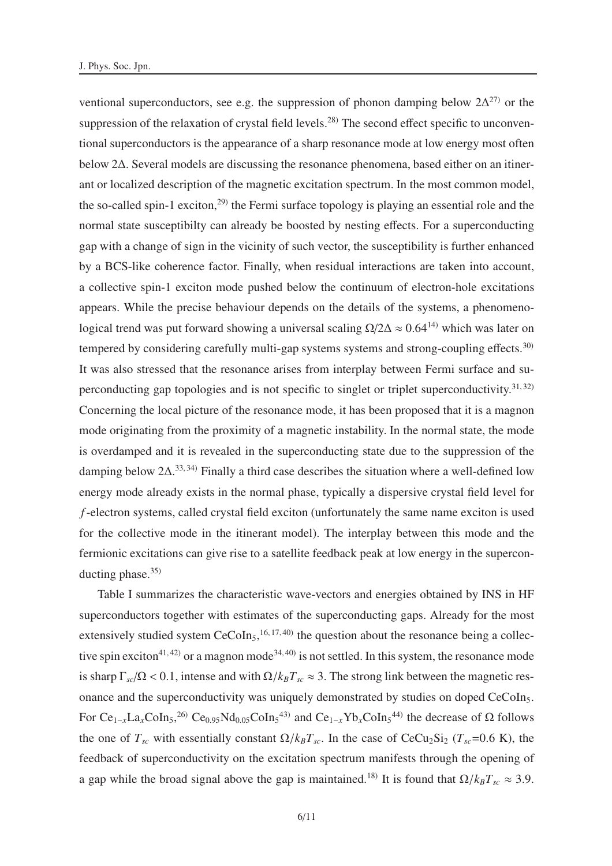ventional superconductors, see e.g. the suppression of phonon damping below  $2\Delta^{27}$  or the suppression of the relaxation of crystal field levels.<sup>28)</sup> The second effect specific to unconventional superconductors is the appearance of a sharp resonance mode at low energy most often below 2∆. Several models are discussing the resonance phenomena, based either on an itinerant or localized description of the magnetic excitation spectrum. In the most common model, the so-called spin-1 exciton,<sup>29)</sup> the Fermi surface topology is playing an essential role and the normal state susceptibilty can already be boosted by nesting effects. For a superconducting gap with a change of sign in the vicinity of such vector, the susceptibility is further enhanced by a BCS-like coherence factor. Finally, when residual interactions are taken into account, a collective spin-1 exciton mode pushed below the continuum of electron-hole excitations appears. While the precise behaviour depends on the details of the systems, a phenomenological trend was put forward showing a universal scaling  $\Omega/2\Delta \approx 0.64^{14}$  which was later on tempered by considering carefully multi-gap systems systems and strong-coupling effects.<sup>30)</sup> It was also stressed that the resonance arises from interplay between Fermi surface and superconducting gap topologies and is not specific to singlet or triplet superconductivity.<sup>31,32)</sup> Concerning the local picture of the resonance mode, it has been proposed that it is a magnon mode originating from the proximity of a magnetic instability. In the normal state, the mode is overdamped and it is revealed in the superconducting state due to the suppression of the damping below  $2\Delta$ .<sup>33,34)</sup> Finally a third case describes the situation where a well-defined low energy mode already exists in the normal phase, typically a dispersive crystal field level for *f*-electron systems, called crystal field exciton (unfortunately the same name exciton is used for the collective mode in the itinerant model). The interplay between this mode and the fermionic excitations can give rise to a satellite feedback peak at low energy in the superconducting phase. $35$ 

Table I summarizes the characteristic wave-vectors and energies obtained by INS in HF superconductors together with estimates of the superconducting gaps. Already for the most extensively studied system  $CeCoIn<sub>5</sub>,<sup>16, 17, 40)</sup>$  the question about the resonance being a collective spin exciton<sup>41, 42</sup> or a magnon mode<sup>34, 40</sup> is not settled. In this system, the resonance mode is sharp  $\Gamma_{sc}/\Omega$  < 0.1, intense and with  $\Omega/k_B T_{sc} \approx 3$ . The strong link between the magnetic resonance and the superconductivity was uniquely demonstrated by studies on doped CeCoIn<sub>5</sub>. For  $Ce_{1-x}La_xCoIn_5$ ,<sup>26)</sup>  $Ce_{0.95}Nd_{0.05}CoIn_5^{43}$  and  $Ce_{1-x}Yb_xCoIn_5^{44}$  the decrease of  $\Omega$  follows the one of  $T_{sc}$  with essentially constant  $\Omega/k_B T_{sc}$ . In the case of CeCu<sub>2</sub>Si<sub>2</sub> ( $T_{sc}$ =0.6 K), the feedback of superconductivity on the excitation spectrum manifests through the opening of a gap while the broad signal above the gap is maintained.<sup>18)</sup> It is found that  $\Omega/k_B T_{sc} \approx 3.9$ .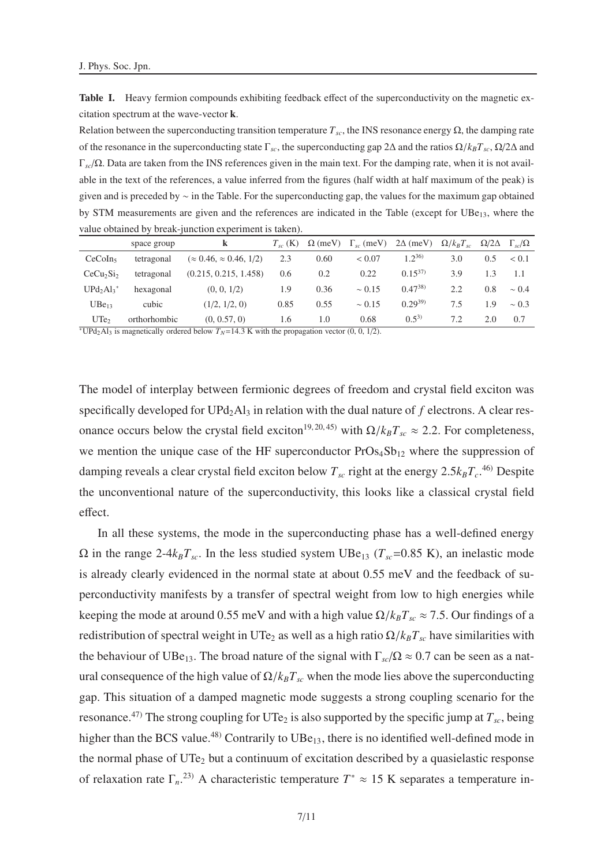Table I. Heavy fermion compounds exhibiting feedback effect of the superconductivity on the magnetic excitation spectrum at the wave-vector k.

Relation between the superconducting transition temperature  $T_{sc}$ , the INS resonance energy  $\Omega$ , the damping rate of the resonance in the superconducting state Γ*sc*, the superconducting gap 2∆ and the ratios Ω/*kBTsc*, Ω/2∆ and Γ*sc*/Ω. Data are taken from the INS references given in the main text. For the damping rate, when it is not available in the text of the references, a value inferred from the figures (half width at half maximum of the peak) is given and is preceded by ∼ in the Table. For the superconducting gap, the values for the maximum gap obtained by STM measurements are given and the references are indicated in the Table (except for  $UBe_{13}$ , where the value obtained by break-junction experiment is taken).

|                                   | space group  | k                                   | $T_{sc}$ (K) | $\Omega$ (meV) | $\Gamma_{sc}$ (meV) | $2\Delta$ (meV) | $\Omega/k_B T_{sc}$ | $\Omega/2\Delta$ | $\Gamma_{sc}/\Omega$ |
|-----------------------------------|--------------|-------------------------------------|--------------|----------------|---------------------|-----------------|---------------------|------------------|----------------------|
| CeCoIn <sub>5</sub>               | tetragonal   | $(\approx 0.46, \approx 0.46, 1/2)$ | 2.3          | 0.60           | ${}< 0.07$          | $1.2^{36}$      | 3.0                 | 0.5              | < 0.1                |
| CeCu <sub>2</sub> Si <sub>2</sub> | tetragonal   | (0.215, 0.215, 1.458)               | 0.6          | 0.2            | 0.22                | $0.15^{37}$     | 3.9                 | 1.3              | 1.1                  |
| $UPd_2Al_3^*$                     | hexagonal    | (0, 0, 1/2)                         | 1.9          | 0.36           | $\sim 0.15$         | $(0.47^{38})$   | 2.2                 | 0.8              | $\sim 0.4$           |
| $UBe_{13}$                        | cubic        | (1/2, 1/2, 0)                       | 0.85         | 0.55           | $\sim 0.15$         | $0.29^{39}$     | 7.5                 | 1.9              | $\sim 0.3$           |
| UTe <sub>2</sub>                  | orthorhombic | (0, 0.57, 0)                        | 1.6          | 1.0            | 0.68                | $(0.5^{3})$     | 7.2                 | 2.0              | 0.7                  |

<sup>∗</sup>UPd<sub>2</sub>Al<sub>3</sub> is magnetically ordered below  $T_N$ =14.3 K with the propagation vector (0, 0, 1/2).

The model of interplay between fermionic degrees of freedom and crystal field exciton was specifically developed for  $UPd_2Al_3$  in relation with the dual nature of  $f$  electrons. A clear resonance occurs below the crystal field exciton<sup>19, 20, 45)</sup> with  $\Omega/k_B T_{sc} \approx 2.2$ . For completeness, we mention the unique case of the HF superconductor  $Pros<sub>4</sub>Sb<sub>12</sub>$  where the suppression of damping reveals a clear crystal field exciton below  $T_{sc}$  right at the energy  $2.5k_BT_c$ <sup>46)</sup> Despite the unconventional nature of the superconductivity, this looks like a classical crystal field effect.

In all these systems, the mode in the superconducting phase has a well-defined energy  $Ω$  in the range  $2-4k_BT_{sc}$ . In the less studied system UBe<sub>13</sub> ( $T_{sc}=0.85$  K), an inelastic mode is already clearly evidenced in the normal state at about 0.55 meV and the feedback of superconductivity manifests by a transfer of spectral weight from low to high energies while keeping the mode at around 0.55 meV and with a high value  $\Omega/k_B T_{sc} \approx 7.5$ . Our findings of a redistribution of spectral weight in UTe<sub>2</sub> as well as a high ratio  $\Omega/k_B T_{sc}$  have similarities with the behaviour of UBe<sub>13</sub>. The broad nature of the signal with  $\Gamma_{sc}/\Omega \approx 0.7$  can be seen as a natural consequence of the high value of  $\Omega/k_B T_{sc}$  when the mode lies above the superconducting gap. This situation of a damped magnetic mode suggests a strong coupling scenario for the resonance.<sup>47)</sup> The strong coupling for UTe<sub>2</sub> is also supported by the specific jump at  $T_{sc}$ , being higher than the BCS value.<sup>48)</sup> Contrarily to  $UBe_{13}$ , there is no identified well-defined mode in the normal phase of  $UTe_2$  but a continuum of excitation described by a quasielastic response of relaxation rate  $\Gamma_n$ <sup>23)</sup> A characteristic temperature  $T^* \approx 15$  K separates a temperature in-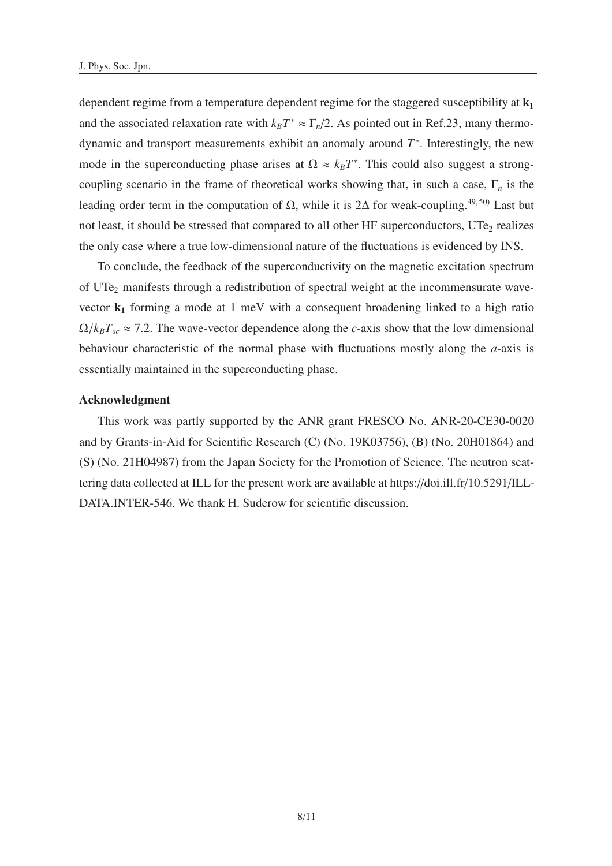dependent regime from a temperature dependent regime for the staggered susceptibility at  $k_1$ and the associated relaxation rate with  $k_B T^* \approx \Gamma_n/2$ . As pointed out in Ref.23, many thermodynamic and transport measurements exhibit an anomaly around *T* ∗ . Interestingly, the new mode in the superconducting phase arises at  $\Omega \approx k_B T^*$ . This could also suggest a strongcoupling scenario in the frame of theoretical works showing that, in such a case, Γ*<sup>n</sup>* is the leading order term in the computation of  $\Omega$ , while it is 2Δ for weak-coupling.<sup>49,50)</sup> Last but not least, it should be stressed that compared to all other HF superconductors,  $\text{UTe}_2$  realizes the only case where a true low-dimensional nature of the fluctuations is evidenced by INS.

To conclude, the feedback of the superconductivity on the magnetic excitation spectrum of UTe<sub>2</sub> manifests through a redistribution of spectral weight at the incommensurate wavevector  $k_1$  forming a mode at 1 meV with a consequent broadening linked to a high ratio  $\Omega/k_B T_{sc} \approx 7.2$ . The wave-vector dependence along the *c*-axis show that the low dimensional behaviour characteristic of the normal phase with fluctuations mostly along the *a*-axis is essentially maintained in the superconducting phase.

### Acknowledgment

This work was partly supported by the ANR grant FRESCO No. ANR-20-CE30-0020 and by Grants-in-Aid for Scientific Research (C) (No. 19K03756), (B) (No. 20H01864) and (S) (No. 21H04987) from the Japan Society for the Promotion of Science. The neutron scattering data collected at ILL for the present work are available at https://doi.ill.fr/10.5291/ILL-DATA.INTER-546. We thank H. Suderow for scientific discussion.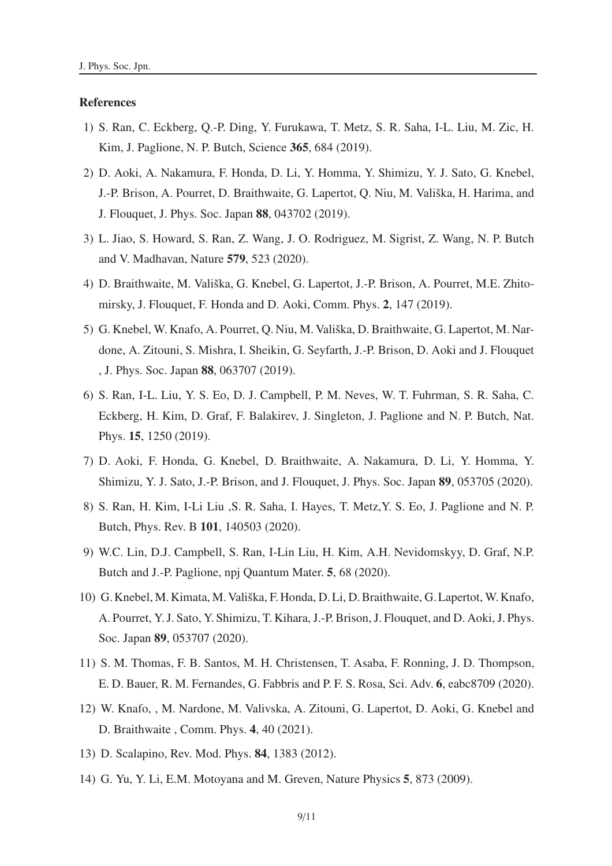#### **References**

- 1) S. Ran, C. Eckberg, Q.-P. Ding, Y. Furukawa, T. Metz, S. R. Saha, I-L. Liu, M. Zic, H. Kim, J. Paglione, N. P. Butch, Science 365, 684 (2019).
- 2) D. Aoki, A. Nakamura, F. Honda, D. Li, Y. Homma, Y. Shimizu, Y. J. Sato, G. Knebel, J.-P. Brison, A. Pourret, D. Braithwaite, G. Lapertot, Q. Niu, M. Vališka, H. Harima, and J. Flouquet, J. Phys. Soc. Japan 88, 043702 (2019).
- 3) L. Jiao, S. Howard, S. Ran, Z. Wang, J. O. Rodriguez, M. Sigrist, Z. Wang, N. P. Butch and V. Madhavan, Nature 579, 523 (2020).
- 4) D. Braithwaite, M. Vališka, G. Knebel, G. Lapertot, J.-P. Brison, A. Pourret, M.E. Zhitomirsky, J. Flouquet, F. Honda and D. Aoki, Comm. Phys. 2, 147 (2019).
- 5) G. Knebel, W. Knafo, A. Pourret, Q. Niu, M. Vališka, D. Braithwaite, G. Lapertot, M. Nardone, A. Zitouni, S. Mishra, I. Sheikin, G. Seyfarth, J.-P. Brison, D. Aoki and J. Flouquet , J. Phys. Soc. Japan 88, 063707 (2019).
- 6) S. Ran, I-L. Liu, Y. S. Eo, D. J. Campbell, P. M. Neves, W. T. Fuhrman, S. R. Saha, C. Eckberg, H. Kim, D. Graf, F. Balakirev, J. Singleton, J. Paglione and N. P. Butch, Nat. Phys. 15, 1250 (2019).
- 7) D. Aoki, F. Honda, G. Knebel, D. Braithwaite, A. Nakamura, D. Li, Y. Homma, Y. Shimizu, Y. J. Sato, J.-P. Brison, and J. Flouquet, J. Phys. Soc. Japan 89, 053705 (2020).
- 8) S. Ran, H. Kim, I-Li Liu ,S. R. Saha, I. Hayes, T. Metz,Y. S. Eo, J. Paglione and N. P. Butch, Phys. Rev. B 101, 140503 (2020).
- 9) W.C. Lin, D.J. Campbell, S. Ran, I-Lin Liu, H. Kim, A.H. Nevidomskyy, D. Graf, N.P. Butch and J.-P. Paglione, npj Quantum Mater. 5, 68 (2020).
- 10) G. Knebel, M. Kimata, M. Vališka, F. Honda, D. Li, D. Braithwaite, G. Lapertot, W. Knafo, A. Pourret, Y. J. Sato, Y. Shimizu, T. Kihara, J.-P. Brison, J. Flouquet, and D. Aoki, J. Phys. Soc. Japan 89, 053707 (2020).
- 11) S. M. Thomas, F. B. Santos, M. H. Christensen, T. Asaba, F. Ronning, J. D. Thompson, E. D. Bauer, R. M. Fernandes, G. Fabbris and P. F. S. Rosa, Sci. Adv. 6, eabc8709 (2020).
- 12) W. Knafo, , M. Nardone, M. Valivska, A. Zitouni, G. Lapertot, D. Aoki, G. Knebel and D. Braithwaite , Comm. Phys. 4, 40 (2021).
- 13) D. Scalapino, Rev. Mod. Phys. 84, 1383 (2012).
- 14) G. Yu, Y. Li, E.M. Motoyana and M. Greven, Nature Physics 5, 873 (2009).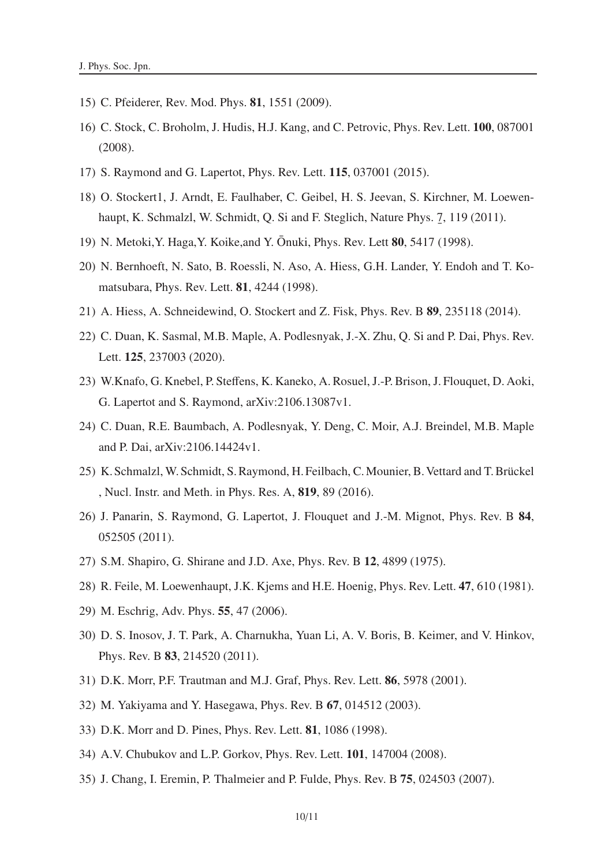- 15) C. Pfeiderer, Rev. Mod. Phys. 81, 1551 (2009).
- 16) C. Stock, C. Broholm, J. Hudis, H.J. Kang, and C. Petrovic, Phys. Rev. Lett. 100, 087001 (2008).
- 17) S. Raymond and G. Lapertot, Phys. Rev. Lett. 115, 037001 (2015).
- 18) O. Stockert1, J. Arndt, E. Faulhaber, C. Geibel, H. S. Jeevan, S. Kirchner, M. Loewenhaupt, K. Schmalzl, W. Schmidt, Q. Si and F. Steglich, Nature Phys. 7  $\overline{a}$ , 119 (2011).
- 19) N. Metoki, Y. Haga, Y. Koike, and Y. Ōnuki, Phys. Rev. Lett **80**, 5417 (1998).
- 20) N. Bernhoeft, N. Sato, B. Roessli, N. Aso, A. Hiess, G.H. Lander, Y. Endoh and T. Komatsubara, Phys. Rev. Lett. 81, 4244 (1998).
- 21) A. Hiess, A. Schneidewind, O. Stockert and Z. Fisk, Phys. Rev. B 89, 235118 (2014).
- 22) C. Duan, K. Sasmal, M.B. Maple, A. Podlesnyak, J.-X. Zhu, Q. Si and P. Dai, Phys. Rev. Lett. 125, 237003 (2020).
- 23) W.Knafo, G. Knebel, P. Steffens, K. Kaneko, A. Rosuel, J.-P. Brison, J. Flouquet, D. Aoki, G. Lapertot and S. Raymond, arXiv:2106.13087v1.
- 24) C. Duan, R.E. Baumbach, A. Podlesnyak, Y. Deng, C. Moir, A.J. Breindel, M.B. Maple and P. Dai, arXiv:2106.14424v1.
- 25) K. Schmalzl, W. Schmidt, S. Raymond, H. Feilbach, C. Mounier, B. Vettard and T. Brückel , Nucl. Instr. and Meth. in Phys. Res. A, 819, 89 (2016).
- 26) J. Panarin, S. Raymond, G. Lapertot, J. Flouquet and J.-M. Mignot, Phys. Rev. B 84, 052505 (2011).
- 27) S.M. Shapiro, G. Shirane and J.D. Axe, Phys. Rev. B 12, 4899 (1975).
- 28) R. Feile, M. Loewenhaupt, J.K. Kjems and H.E. Hoenig, Phys. Rev. Lett. 47, 610 (1981).
- 29) M. Eschrig, Adv. Phys. 55, 47 (2006).
- 30) D. S. Inosov, J. T. Park, A. Charnukha, Yuan Li, A. V. Boris, B. Keimer, and V. Hinkov, Phys. Rev. B 83, 214520 (2011).
- 31) D.K. Morr, P.F. Trautman and M.J. Graf, Phys. Rev. Lett. 86, 5978 (2001).
- 32) M. Yakiyama and Y. Hasegawa, Phys. Rev. B 67, 014512 (2003).
- 33) D.K. Morr and D. Pines, Phys. Rev. Lett. 81, 1086 (1998).
- 34) A.V. Chubukov and L.P. Gorkov, Phys. Rev. Lett. 101, 147004 (2008).
- 35) J. Chang, I. Eremin, P. Thalmeier and P. Fulde, Phys. Rev. B 75, 024503 (2007).